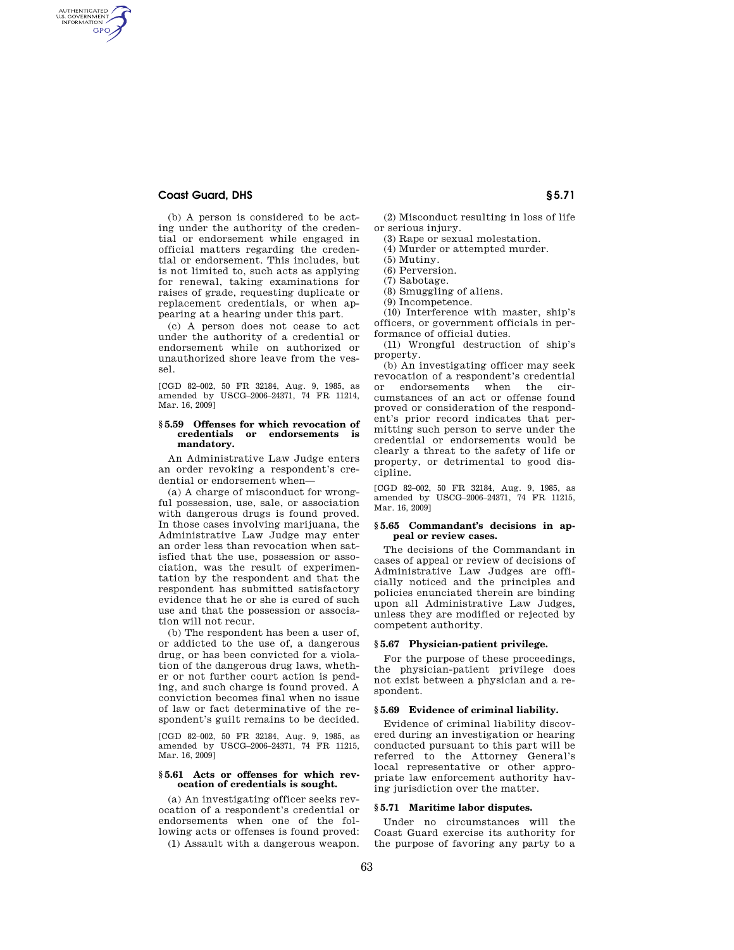# **Coast Guard, DHS § 5.71**

AUTHENTICATED<br>U.S. GOVERNMENT<br>INFORMATION **GPO** 

> (b) A person is considered to be acting under the authority of the credential or endorsement while engaged in official matters regarding the credential or endorsement. This includes, but is not limited to, such acts as applying for renewal, taking examinations for raises of grade, requesting duplicate or replacement credentials, or when appearing at a hearing under this part.

> (c) A person does not cease to act under the authority of a credential or endorsement while on authorized or unauthorized shore leave from the vessel.

> [CGD 82–002, 50 FR 32184, Aug. 9, 1985, as amended by USCG–2006–24371, 74 FR 11214, Mar. 16, 2009]

### **§ 5.59 Offenses for which revocation of credentials or endorsements is mandatory.**

An Administrative Law Judge enters an order revoking a respondent's credential or endorsement when—

(a) A charge of misconduct for wrongful possession, use, sale, or association with dangerous drugs is found proved. In those cases involving marijuana, the Administrative Law Judge may enter an order less than revocation when satisfied that the use, possession or association, was the result of experimentation by the respondent and that the respondent has submitted satisfactory evidence that he or she is cured of such use and that the possession or association will not recur.

(b) The respondent has been a user of, or addicted to the use of, a dangerous drug, or has been convicted for a violation of the dangerous drug laws, whether or not further court action is pending, and such charge is found proved. A conviction becomes final when no issue of law or fact determinative of the respondent's guilt remains to be decided.

[CGD 82–002, 50 FR 32184, Aug. 9, 1985, as amended by USCG–2006–24371, 74 FR 11215, Mar. 16, 2009]

### **§ 5.61 Acts or offenses for which revocation of credentials is sought.**

(a) An investigating officer seeks revocation of a respondent's credential or endorsements when one of the following acts or offenses is found proved:

(1) Assault with a dangerous weapon.

(2) Misconduct resulting in loss of life or serious injury.

(3) Rape or sexual molestation.

(4) Murder or attempted murder.

(5) Mutiny.

(6) Perversion.

(7) Sabotage.

(8) Smuggling of aliens.

(9) Incompetence.

(10) Interference with master, ship's officers, or government officials in performance of official duties.

(11) Wrongful destruction of ship's property.

(b) An investigating officer may seek revocation of a respondent's credential or endorsements when the circumstances of an act or offense found proved or consideration of the respondent's prior record indicates that permitting such person to serve under the credential or endorsements would be clearly a threat to the safety of life or property, or detrimental to good discipline.

[CGD 82–002, 50 FR 32184, Aug. 9, 1985, as amended by USCG–2006–24371, 74 FR 11215, Mar. 16, 2009]

## **§ 5.65 Commandant's decisions in appeal or review cases.**

The decisions of the Commandant in cases of appeal or review of decisions of Administrative Law Judges are officially noticed and the principles and policies enunciated therein are binding upon all Administrative Law Judges, unless they are modified or rejected by competent authority.

### **§ 5.67 Physician-patient privilege.**

For the purpose of these proceedings, the physician-patient privilege does not exist between a physician and a respondent.

# **§ 5.69 Evidence of criminal liability.**

Evidence of criminal liability discovered during an investigation or hearing conducted pursuant to this part will be referred to the Attorney General's local representative or other appropriate law enforcement authority having jurisdiction over the matter.

### **§ 5.71 Maritime labor disputes.**

Under no circumstances will the Coast Guard exercise its authority for the purpose of favoring any party to a